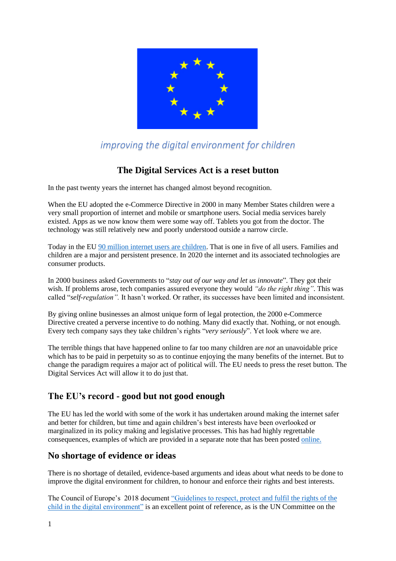

# *improving the digital environment for children*

# **The Digital Services Act is a reset button**

In the past twenty years the internet has changed almost beyond recognition.

When the EU adopted the e-Commerce Directive in 2000 in many Member States children were a very small proportion of internet and mobile or smartphone users. Social media services barely existed. Apps as we now know them were some way off. Tablets you got from the doctor. The technology was still relatively new and poorly understood outside a narrow circle.

Today in the EU [90 million internet users are children.](http://nws.eurocities.eu/MediaShell/media/Roadmap_feedback_EU_strategy_on_the_rights_of_the_child.pdf) That is one in five of all users. Families and children are a major and persistent presence. In 2020 the internet and its associated technologies are consumer products.

In 2000 business asked Governments to "*stay out of our way and let us innovate*". They got their wish. If problems arose, tech companies assured everyone they would *"do the right thing"*. This was called "*self-regulation".* It hasn't worked. Or rather, its successes have been limited and inconsistent.

By giving online businesses an almost unique form of legal protection, the 2000 e-Commerce Directive created a perverse incentive to do nothing. Many did exactly that. Nothing, or not enough. Every tech company says they take children's rights "*very seriously*". Yet look where we are.

The terrible things that have happened online to far too many children are *not* an unavoidable price which has to be paid in perpetuity so as to continue enjoying the many benefits of the internet. But to change the paradigm requires a major act of political will. The EU needs to press the reset button. The Digital Services Act will allow it to do just that.

# **The EU's record - good but not good enough**

The EU has led the world with some of the work it has undertaken around making the internet safer and better for children, but time and again children's best interests have been overlooked or marginalized in its policy making and legislative processes. This has had highly regrettable consequences, examples of which are provided in a separate note that has been posted [online.](https://1drv.ms/b/s!AsCQDVp4UDfeg-FkMCm9KT8kHLxlTg?e=xLwf7Z)

## **No shortage of evidence or ideas**

There is no shortage of detailed, evidence-based arguments and ideas about what needs to be done to improve the digital environment for children, to honour and enforce their rights and best interests.

The Council of Europe's 2018 document ["Guidelines to respect, protect and fulfil the rights of the](https://rm.coe.int/guidelines-to-respect-protect-and-fulfil-the-rights-of-the-child-in-th/16808d881a)  [child in the digital environment"](https://rm.coe.int/guidelines-to-respect-protect-and-fulfil-the-rights-of-the-child-in-th/16808d881a) is an excellent point of reference, as is the UN Committee on the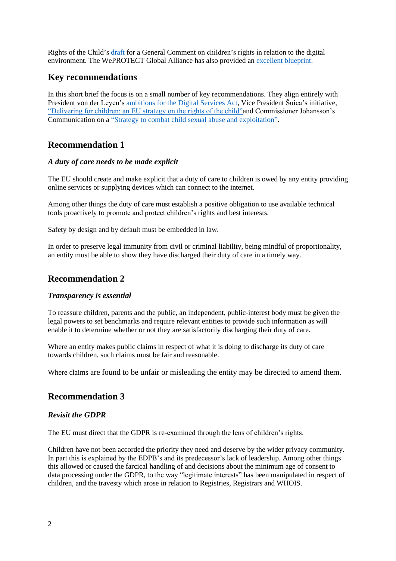Rights of the Child's [draft](https://tbinternet.ohchr.org/Treaties/CRC/Shared%20Documents/1_Global/CRC_C_GC_25_9235_E.pdf) for a General Comment on children's rights in relation to the digital environment. The WePROTECT Global Alliance has also provided an [excellent blueprint.](https://www.weprotect.org/)

### **Key recommendations**

In this short brief the focus is on a small number of key recommendations. They align entirely with President von der Leyen's [ambitions for the Digital Services Act,](https://ec.europa.eu/digital-single-market/en/digital-services-act-package) Vice President Šuica's initiative, ["Delivering for children: an EU strategy on the rights of the child"a](http://nws.eurocities.eu/MediaShell/media/Roadmap_feedback_EU_strategy_on_the_rights_of_the_child.pdf)nd Commissioner Johansson's Communication on a ["Strategy to combat child sexual abuse and exploitation".](https://ec.europa.eu/commission/commissioners/2019-2024/johansson/announcements/speech-commissioner-johansson-webinar-preventing-and-combating-child-sexual-abuse-exploitation_en)

# **Recommendation 1**

### *A duty of care needs to be made explicit*

The EU should create and make explicit that a duty of care to children is owed by any entity providing online services or supplying devices which can connect to the internet.

Among other things the duty of care must establish a positive obligation to use available technical tools proactively to promote and protect children's rights and best interests.

Safety by design and by default must be embedded in law.

In order to preserve legal immunity from civil or criminal liability, being mindful of proportionality, an entity must be able to show they have discharged their duty of care in a timely way.

### **Recommendation 2**

#### *Transparency is essential*

To reassure children, parents and the public, an independent, public-interest body must be given the legal powers to set benchmarks and require relevant entities to provide such information as will enable it to determine whether or not they are satisfactorily discharging their duty of care.

Where an entity makes public claims in respect of what it is doing to discharge its duty of care towards children, such claims must be fair and reasonable.

Where claims are found to be unfair or misleading the entity may be directed to amend them.

## **Recommendation 3**

### *Revisit the GDPR*

The EU must direct that the GDPR is re-examined through the lens of children's rights.

Children have not been accorded the priority they need and deserve by the wider privacy community. In part this is explained by the EDPB's and its predecessor's lack of leadership. Among other things this allowed or caused the farcical handling of and decisions about the minimum age of consent to data processing under the GDPR, to the way "legitimate interests" has been manipulated in respect of children, and the travesty which arose in relation to Registries, Registrars and WHOIS.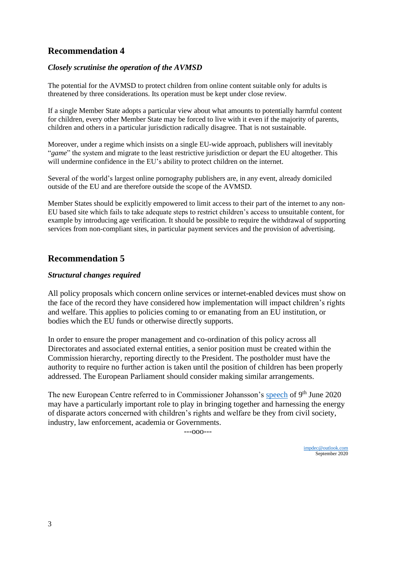# **Recommendation 4**

### *Closely scrutinise the operation of the AVMSD*

The potential for the AVMSD to protect children from online content suitable only for adults is threatened by three considerations. Its operation must be kept under close review.

If a single Member State adopts a particular view about what amounts to potentially harmful content for children, every other Member State may be forced to live with it even if the majority of parents, children and others in a particular jurisdiction radically disagree. That is not sustainable.

Moreover, under a regime which insists on a single EU-wide approach, publishers will inevitably "*game*" the system and migrate to the least restrictive jurisdiction or depart the EU altogether. This will undermine confidence in the EU's ability to protect children on the internet.

Several of the world's largest online pornography publishers are, in any event, already domiciled outside of the EU and are therefore outside the scope of the AVMSD.

Member States should be explicitly empowered to limit access to their part of the internet to any non-EU based site which fails to take adequate steps to restrict children's access to unsuitable content, for example by introducing age verification. It should be possible to require the withdrawal of supporting services from non-compliant sites, in particular payment services and the provision of advertising.

## **Recommendation 5**

### *Structural changes required*

All policy proposals which concern online services or internet-enabled devices must show on the face of the record they have considered how implementation will impact children's rights and welfare. This applies to policies coming to or emanating from an EU institution, or bodies which the EU funds or otherwise directly supports.

In order to ensure the proper management and co-ordination of this policy across all Directorates and associated external entities, a senior position must be created within the Commission hierarchy, reporting directly to the President. The postholder must have the authority to require no further action is taken until the position of children has been properly addressed. The European Parliament should consider making similar arrangements.

The new European Centre referred to in Commissioner Johansson's [speech](https://ec.europa.eu/commission/commissioners/2019-2024/johansson/announcements/speech-commissioner-johansson-webinar-preventing-and-combating-child-sexual-abuse-exploitation_en) of 9<sup>th</sup> June 2020 may have a particularly important role to play in bringing together and harnessing the energy of disparate actors concerned with children's rights and welfare be they from civil society, industry, law enforcement, academia or Governments.

---ooo---

[impdec@outlook.com](mailto:impdec@outlook.com) September 2020